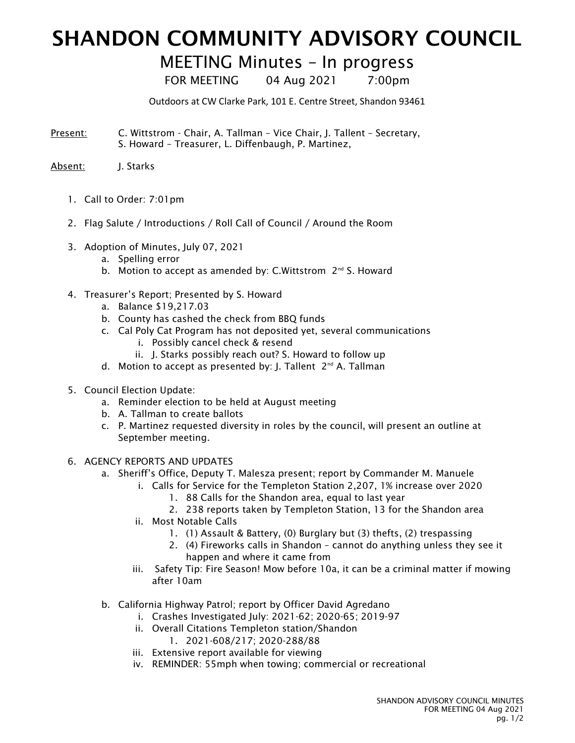## SHANDON COMMUNITY ADVISORY COUNCIL

## MEETING Minutes – In progress

FOR MEETING 04 Aug 2021 7:00pm

Outdoors at CW Clarke Park, 101 E. Centre Street, Shandon 93461

- Present: C. Wittstrom Chair, A. Tallman Vice Chair, J. Tallent Secretary, S. Howard – Treasurer, L. Diffenbaugh, P. Martinez,
- Absent: J. Starks
	- 1. Call to Order: 7:01pm
	- 2. Flag Salute / Introductions / Roll Call of Council / Around the Room
	- 3. Adoption of Minutes, July 07, 2021
		- a. Spelling error
		- b. Motion to accept as amended by: C.Wittstrom 2<sup>nd</sup> S. Howard
	- 4. Treasurer's Report; Presented by S. Howard
		- a. Balance \$19,217.03
		- b. County has cashed the check from BBQ funds
		- c. Cal Poly Cat Program has not deposited yet, several communications
			- i. Possibly cancel check & resend
			- ii. J. Starks possibly reach out? S. Howard to follow up
		- d. Motion to accept as presented by: J. Tallent 2<sup>nd</sup> A. Tallman
	- 5. Council Election Update:
		- a. Reminder election to be held at August meeting
		- b. A. Tallman to create ballots
		- c. P. Martinez requested diversity in roles by the council, will present an outline at September meeting.
	- 6. AGENCY REPORTS AND UPDATES
		- a. Sheriff's Office, Deputy T. Malesza present; report by Commander M. Manuele
			- i. Calls for Service for the Templeton Station 2,207, 1% increase over 2020
				- 1. 88 Calls for the Shandon area, equal to last year
				- 2. 238 reports taken by Templeton Station, 13 for the Shandon area
			- ii. Most Notable Calls
				- 1. (1) Assault & Battery, (0) Burglary but (3) thefts, (2) trespassing
				- 2. (4) Fireworks calls in Shandon cannot do anything unless they see it happen and where it came from
			- iii. Safety Tip: Fire Season! Mow before 10a, it can be a criminal matter if mowing after 10am
		- b. California Highway Patrol; report by Officer David Agredano
			- i. Crashes Investigated July: 2021-62; 2020-65; 2019-97
				- ii. Overall Citations Templeton station/Shandon
					- 1. 2021-608/217; 2020-288/88
				- iii. Extensive report available for viewing
				- iv. REMINDER: 55mph when towing; commercial or recreational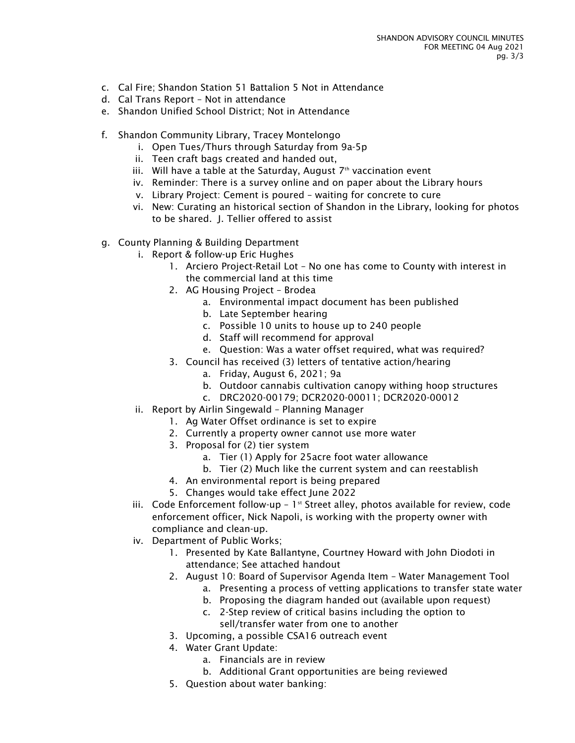- c. Cal Fire; Shandon Station 51 Battalion 5 Not in Attendance
- d. Cal Trans Report Not in attendance
- e. Shandon Unified School District; Not in Attendance
- f. Shandon Community Library, Tracey Montelongo
	- i. Open Tues/Thurs through Saturday from 9a-5p
	- ii. Teen craft bags created and handed out,
	- iii. Will have a table at the Saturday, August  $7<sup>th</sup>$  vaccination event
	- iv. Reminder: There is a survey online and on paper about the Library hours
	- v. Library Project: Cement is poured waiting for concrete to cure
	- vi. New: Curating an historical section of Shandon in the Library, looking for photos to be shared. J. Tellier offered to assist
- g. County Planning & Building Department
	- i. Report & follow-up Eric Hughes
		- 1. Arciero Project-Retail Lot No one has come to County with interest in the commercial land at this time
		- 2. AG Housing Project Brodea
			- a. Environmental impact document has been published
			- b. Late September hearing
			- c. Possible 10 units to house up to 240 people
			- d. Staff will recommend for approval
			- e. Question: Was a water offset required, what was required?
		- 3. Council has received (3) letters of tentative action/hearing
			- a. Friday, August 6, 2021; 9a
			- b. Outdoor cannabis cultivation canopy withing hoop structures
			- c. DRC2020-00179; DCR2020-00011; DCR2020-00012
	- ii. Report by Airlin Singewald Planning Manager
		- 1. Ag Water Offset ordinance is set to expire
		- 2. Currently a property owner cannot use more water
		- 3. Proposal for (2) tier system
			- a. Tier (1) Apply for 25acre foot water allowance
			- b. Tier (2) Much like the current system and can reestablish
		- 4. An environmental report is being prepared
		- 5. Changes would take effect June 2022
	- iii. Code Enforcement follow-up  $1<sup>st</sup>$  Street alley, photos available for review, code enforcement officer, Nick Napoli, is working with the property owner with compliance and clean-up.
	- iv. Department of Public Works;
		- 1. Presented by Kate Ballantyne, Courtney Howard with John Diodoti in attendance; See attached handout
		- 2. August 10: Board of Supervisor Agenda Item Water Management Tool
			- a. Presenting a process of vetting applications to transfer state water
			- b. Proposing the diagram handed out (available upon request)
			- c. 2-Step review of critical basins including the option to sell/transfer water from one to another
		- 3. Upcoming, a possible CSA16 outreach event
		- 4. Water Grant Update:
			- a. Financials are in review
			- b. Additional Grant opportunities are being reviewed
		- 5. Question about water banking: